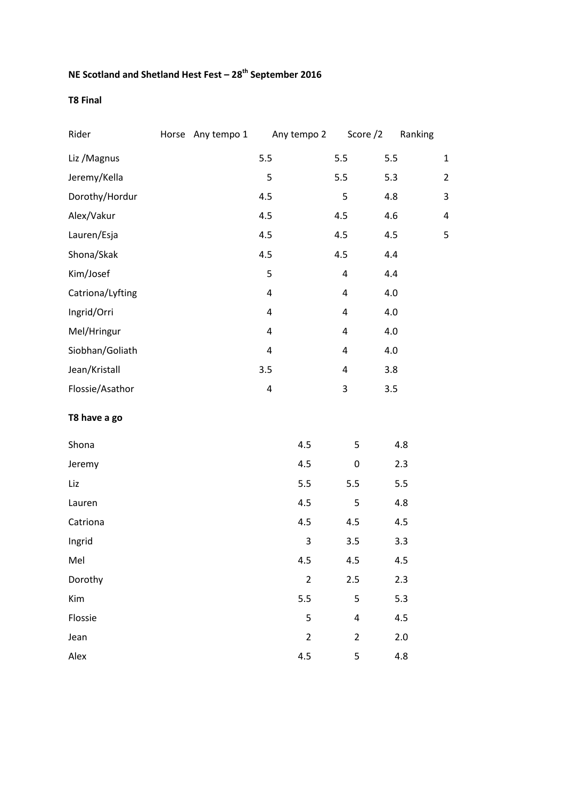## **NE Scotland and Shetland Hest Fest – 28th September 2016**

## **T8 Final**

| Rider            | Horse Any tempo 1 |                         | Any tempo 2    | Score /2       | Ranking |                         |
|------------------|-------------------|-------------------------|----------------|----------------|---------|-------------------------|
| Liz / Magnus     |                   | 5.5                     |                | 5.5            | 5.5     | $\mathbf{1}$            |
| Jeremy/Kella     |                   | 5                       |                | 5.5            | 5.3     | $\overline{\mathbf{c}}$ |
| Dorothy/Hordur   |                   | 4.5                     |                | 5              | 4.8     | 3                       |
| Alex/Vakur       |                   | 4.5                     |                | 4.5            | 4.6     | 4                       |
| Lauren/Esja      |                   | 4.5                     |                | 4.5            | 4.5     | 5                       |
| Shona/Skak       |                   | 4.5                     |                | 4.5            | 4.4     |                         |
| Kim/Josef        |                   | 5                       |                | 4              | 4.4     |                         |
| Catriona/Lyfting |                   | $\overline{\mathbf{4}}$ |                | $\pmb{4}$      | 4.0     |                         |
| Ingrid/Orri      |                   | 4                       |                | 4              | 4.0     |                         |
| Mel/Hringur      |                   | $\overline{\mathbf{4}}$ |                | 4              | 4.0     |                         |
| Siobhan/Goliath  |                   | 4                       |                | 4              | 4.0     |                         |
| Jean/Kristall    |                   | 3.5                     |                | 4              | 3.8     |                         |
| Flossie/Asathor  |                   | $\overline{\mathbf{4}}$ |                | 3              | 3.5     |                         |
| T8 have a go     |                   |                         |                |                |         |                         |
| Shona            |                   |                         | 4.5            | 5              | 4.8     |                         |
| Jeremy           |                   |                         | 4.5            | 0              | 2.3     |                         |
| Liz              |                   |                         | 5.5            | 5.5            | 5.5     |                         |
| Lauren           |                   |                         | 4.5            | 5              | 4.8     |                         |
| Catriona         |                   |                         | 4.5            | 4.5            | 4.5     |                         |
| Ingrid           |                   |                         | 3              | 3.5            | 3.3     |                         |
| Mel              |                   |                         | 4.5            | 4.5            | 4.5     |                         |
| Dorothy          |                   |                         | $\overline{2}$ | 2.5            | 2.3     |                         |
| Kim              |                   |                         | 5.5            | 5              | 5.3     |                         |
| Flossie          |                   |                         | 5              | 4              | 4.5     |                         |
| Jean             |                   |                         | $\overline{2}$ | $\overline{2}$ | 2.0     |                         |
| Alex             |                   |                         | 4.5            | 5              | 4.8     |                         |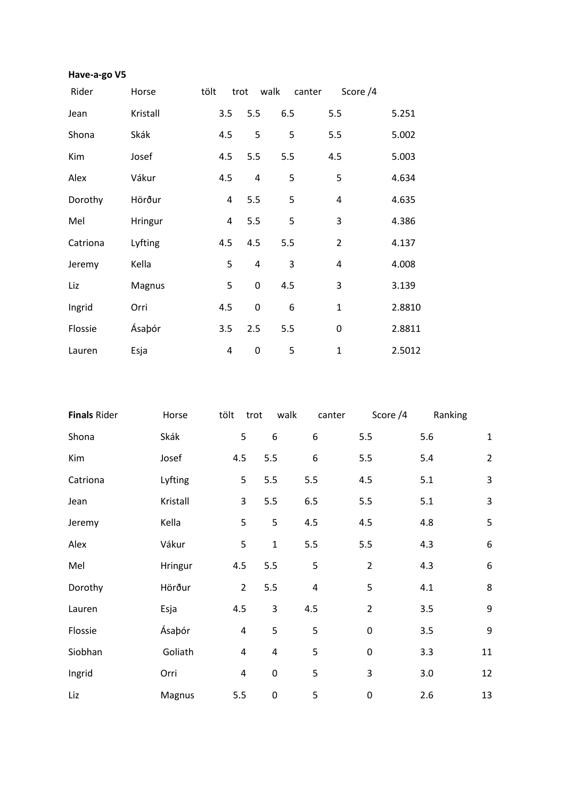## **Have-a-go V5**

| Rider    | Horse    | tölt | trot | walk        | canter | Score /4       |        |
|----------|----------|------|------|-------------|--------|----------------|--------|
| Jean     | Kristall |      | 3.5  | 5.5         | 6.5    | 5.5            | 5.251  |
| Shona    | Skák     |      | 4.5  | 5           | 5      | 5.5            | 5.002  |
| Kim      | Josef    |      | 4.5  | 5.5         | 5.5    | 4.5            | 5.003  |
| Alex     | Vákur    |      | 4.5  | 4           | 5      | 5              | 4.634  |
| Dorothy  | Hörður   |      | 4    | 5.5         | 5      | $\overline{4}$ | 4.635  |
| Mel      | Hringur  |      | 4    | 5.5         | 5      | 3              | 4.386  |
| Catriona | Lyfting  |      | 4.5  | 4.5         | 5.5    | $\overline{2}$ | 4.137  |
| Jeremy   | Kella    |      | 5    | 4           | 3      | 4              | 4.008  |
| Liz      | Magnus   |      | 5    | $\mathbf 0$ | 4.5    | 3              | 3.139  |
| Ingrid   | Orri     |      | 4.5  | 0           | 6      | $\mathbf{1}$   | 2.8810 |
| Flossie  | Ásaþór   |      | 3.5  | 2.5         | 5.5    | 0              | 2.8811 |
| Lauren   | Esja     |      | 4    | 0           | 5      | $\mathbf{1}$   | 2.5012 |

| <b>Finals Rider</b> | Horse    | tölt | trot                    | walk                    | canter    | Score /4       | Ranking |                  |
|---------------------|----------|------|-------------------------|-------------------------|-----------|----------------|---------|------------------|
| Shona               | Skák     |      | 5                       | $\boldsymbol{6}$        | 6         | 5.5            | 5.6     | $\mathbf 1$      |
| Kim                 | Josef    |      | 4.5                     | 5.5                     | 6         | 5.5            | 5.4     | $\overline{2}$   |
| Catriona            | Lyfting  |      | 5                       | 5.5                     | 5.5       | 4.5            | 5.1     | 3                |
| Jean                | Kristall |      | 3                       | 5.5                     | 6.5       | 5.5            | 5.1     | 3                |
| Jeremy              | Kella    |      | 5                       | 5                       | 4.5       | 4.5            | 4.8     | 5                |
| Alex                | Vákur    |      | 5                       | $\mathbf 1$             | 5.5       | 5.5            | 4.3     | $\boldsymbol{6}$ |
| Mel                 | Hringur  |      | 4.5                     | 5.5                     | 5         | $\overline{2}$ | 4.3     | $\boldsymbol{6}$ |
| Dorothy             | Hörður   |      | $\overline{2}$          | 5.5                     | $\pmb{4}$ | 5              | 4.1     | 8                |
| Lauren              | Esja     | 4.5  |                         | $\overline{\mathbf{3}}$ | 4.5       | $\overline{2}$ | 3.5     | 9                |
| Flossie             | Ásaþór   |      | $\overline{\mathbf{4}}$ | 5                       | 5         | 0              | 3.5     | 9                |
| Siobhan             | Goliath  |      | $\overline{\mathbf{4}}$ | $\overline{4}$          | 5         | 0              | 3.3     | 11               |
| Ingrid              | Orri     |      | 4                       | $\pmb{0}$               | 5         | 3              | 3.0     | 12               |
| Liz                 | Magnus   |      | 5.5                     | $\pmb{0}$               | 5         | 0              | 2.6     | 13               |